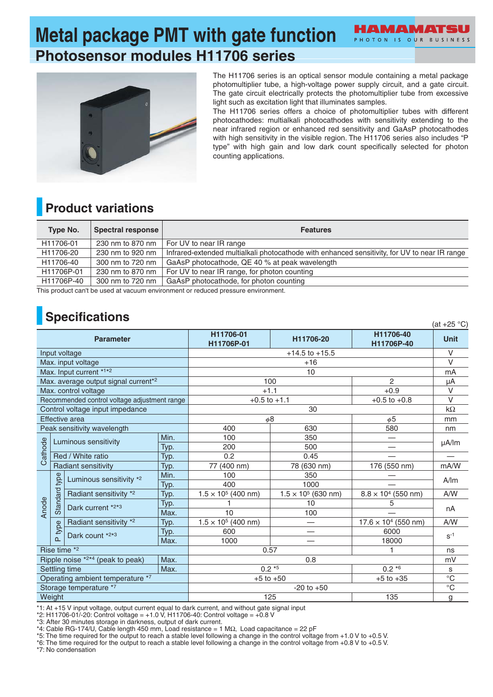# **Metal package PMT with gate function Photosensor modules H11706 series**



The H11706 series is an optical sensor module containing a metal package photomultiplier tube, a high-voltage power supply circuit, and a gate circuit. The gate circuit electrically protects the photomultiplier tube from excessive light such as excitation light that illuminates samples.

PHOTON IS OUR BUSINESS

The H11706 series offers a choice of photomultiplier tubes with different photocathodes: multialkali photocathodes with sensitivity extending to the near infrared region or enhanced red sensitivity and GaAsP photocathodes with high sensitivity in the visible region. The H11706 series also includes "P type" with high gain and low dark count specifically selected for photon counting applications.

#### **Product variations**

| <b>Type No.</b> | <b>Spectral response</b> | <b>Features</b>                                                                               |
|-----------------|--------------------------|-----------------------------------------------------------------------------------------------|
| H11706-01       | 230 nm to 870 nm         | For UV to near IR range                                                                       |
| H11706-20       | 230 nm to 920 nm         | Infrared-extended multialkali photocathode with enhanced sensitivity, for UV to near IR range |
| H11706-40       | 300 nm to 720 nm         | GaAsP photocathode, QE 40 % at peak wavelength                                                |
| H11706P-01      | 230 nm to 870 nm         | For UV to near IR range, for photon counting                                                  |
| H11706P-40      | 300 nm to 720 nm         | GaAsP photocathode, for photon counting                                                       |

This product can't be used at vacuum environment or reduced pressure environment.

### **Specifications**

| <b>Opechications</b><br>(at +25 $^{\circ}$ C) |                                      |                                                  |             |                                |                            |                             |                 |
|-----------------------------------------------|--------------------------------------|--------------------------------------------------|-------------|--------------------------------|----------------------------|-----------------------------|-----------------|
| <b>Parameter</b>                              |                                      |                                                  |             | H11706-01<br>H11706P-01        | H11706-20                  | H11706-40<br>H11706P-40     | Unit            |
| Input voltage                                 |                                      |                                                  |             | $+14.5$ to $+15.5$             |                            |                             | $\vee$          |
|                                               |                                      | Max. input voltage                               |             | $+16$                          |                            |                             | $\vee$          |
|                                               |                                      | Max. Input current *1*2                          |             | 10                             |                            |                             | mA              |
|                                               |                                      | Max. average output signal current <sup>*2</sup> |             | 100                            |                            | $\overline{2}$              | μA              |
|                                               |                                      | Max. control voltage                             |             | $+1.1$                         |                            | $+0.9$                      | $\vee$          |
| Recommended control voltage adjustment range  |                                      |                                                  |             | $+0.5$ to $+1.1$               |                            | $+0.5$ to $+0.8$            | $\vee$          |
| Control voltage input impedance               |                                      |                                                  |             |                                |                            | $k\Omega$                   |                 |
| Effective area                                |                                      |                                                  |             | $\phi$ 8                       |                            | $\phi$ 5                    | mm              |
|                                               |                                      | Peak sensitivity wavelength                      |             | 400                            | 630                        | 580                         | nm              |
|                                               | Min.<br>Luminous sensitivity<br>Typ. |                                                  | 100         | 350                            |                            | $\mu$ A/lm                  |                 |
| athode                                        |                                      |                                                  | 200         | 500                            |                            |                             |                 |
|                                               | Red / White ratio<br>Typ.            |                                                  | 0.2         | 0.45                           |                            |                             |                 |
| ပ                                             | Radiant sensitivity<br>Typ.          |                                                  | 77 (400 nm) | 78 (630 nm)                    | 176 (550 nm)               | mA/W                        |                 |
|                                               | type                                 | Luminous sensitivity *2                          | Min.        | 100                            | 350                        |                             | A/m             |
|                                               |                                      |                                                  | Typ.        | 400                            | 1000                       |                             |                 |
|                                               | <b>Standard</b>                      | Radiant sensitivity *2                           | Typ.        | $1.5 \times 10^5$ (400 nm)     | $1.5 \times 10^5$ (630 nm) | $8.8 \times 10^4$ (550 nm)  | A/W             |
| Anode                                         |                                      | Dark current *2*3                                | Typ.        |                                | 10                         | 5                           | nA              |
|                                               |                                      |                                                  | Max.        | 10                             | 100                        |                             |                 |
|                                               |                                      | Radiant sensitivity *2                           | Typ.        | $1.5 \times 10^5$ (400 nm)     |                            | $17.6 \times 10^4$ (550 nm) | A/W             |
|                                               | type                                 | Dark count *2*3                                  | Typ.        | 600                            |                            | 6000                        | $S^{-1}$        |
|                                               | $\alpha$                             |                                                  | Max.        | 1000                           |                            | 18000                       |                 |
| Rise time *2                                  |                                      |                                                  |             | 0.57<br>1                      |                            |                             | ns              |
|                                               |                                      | Ripple noise *2*4 (peak to peak)                 | Max.        | 0.8                            |                            |                             | mV              |
| Settling time<br>Max.                         |                                      |                                                  |             |                                | $0.2*5$                    | $0.2 * 6$                   | s               |
| Operating ambient temperature *7              |                                      |                                                  |             | $+5$ to $+50$<br>$+5$ to $+35$ |                            |                             | $\overline{C}$  |
| Storage temperature *7                        |                                      |                                                  |             | $-20$ to $+50$                 |                            |                             | $\rm ^{\circ}C$ |
| Weight                                        |                                      |                                                  |             | 125                            |                            | 135                         | g               |

\*1: At +15 V input voltage, output current equal to dark current, and without gate signal input

\*2: H11706-01/-20: Control voltage = +1.0 V, H11706-40: Control voltage = +0.8 V

\*3: After 30 minutes storage in darkness, output of dark current.

\*4: Cable RG-174/U, Cable length 450 mm, Load resistance = 1 MΩ, Load capacitance = 22 pF

\*5: The time required for the output to reach a stable level following a change in the control voltage from +1.0 V to +0.5 V.

\*6: The time required for the output to reach a stable level following a change in the control voltage from +0.8 V to +0.5 V.

\*7: No condensation